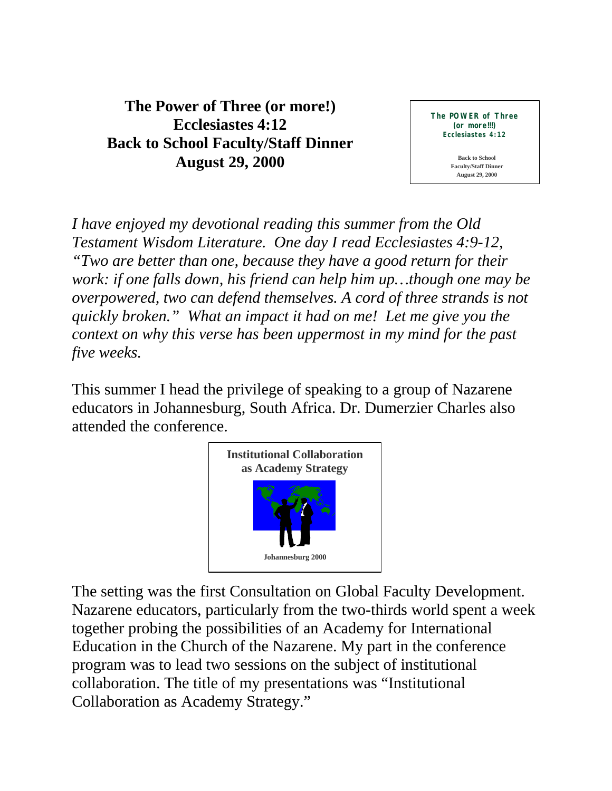**The Power of Three (or more!) Ecclesiastes 4:12 Back to School Faculty/Staff Dinner August 29, 2000**

**The POWER of Three (or more!!!) Ecclesiastes 4:12**

> **Back to School Faculty/Staff Dinner August 29, 2000**

*I have enjoyed my devotional reading this summer from the Old Testament Wisdom Literature. One day I read Ecclesiastes 4:9-12, "Two are better than one, because they have a good return for their work: if one falls down, his friend can help him up…though one may be overpowered, two can defend themselves. A cord of three strands is not quickly broken." What an impact it had on me! Let me give you the context on why this verse has been uppermost in my mind for the past five weeks.*

This summer I head the privilege of speaking to a group of Nazarene educators in Johannesburg, South Africa. Dr. Dumerzier Charles also attended the conference.



The setting was the first Consultation on Global Faculty Development. Nazarene educators, particularly from the two-thirds world spent a week together probing the possibilities of an Academy for International Education in the Church of the Nazarene. My part in the conference program was to lead two sessions on the subject of institutional collaboration. The title of my presentations was "Institutional Collaboration as Academy Strategy."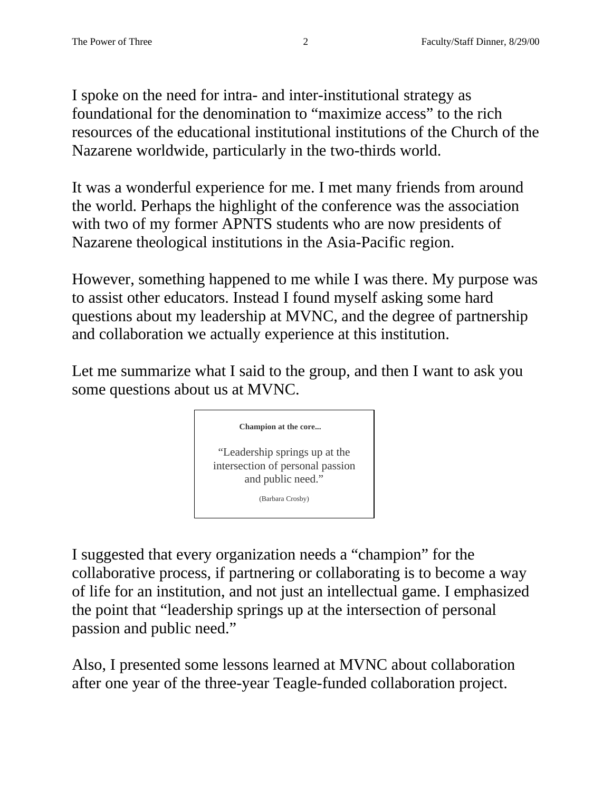I spoke on the need for intra- and inter-institutional strategy as foundational for the denomination to "maximize access" to the rich resources of the educational institutional institutions of the Church of the Nazarene worldwide, particularly in the two-thirds world.

It was a wonderful experience for me. I met many friends from around the world. Perhaps the highlight of the conference was the association with two of my former APNTS students who are now presidents of Nazarene theological institutions in the Asia-Pacific region.

However, something happened to me while I was there. My purpose was to assist other educators. Instead I found myself asking some hard questions about my leadership at MVNC, and the degree of partnership and collaboration we actually experience at this institution.

Let me summarize what I said to the group, and then I want to ask you some questions about us at MVNC.



I suggested that every organization needs a "champion" for the collaborative process, if partnering or collaborating is to become a way of life for an institution, and not just an intellectual game. I emphasized the point that "leadership springs up at the intersection of personal passion and public need."

Also, I presented some lessons learned at MVNC about collaboration after one year of the three-year Teagle-funded collaboration project.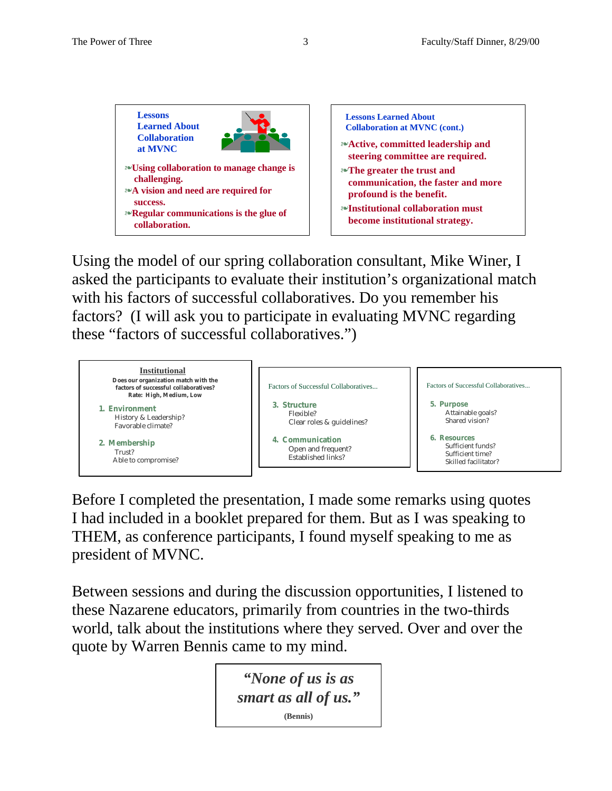



Using the model of our spring collaboration consultant, Mike Winer, I asked the participants to evaluate their institution's organizational match with his factors of successful collaboratives. Do you remember his factors? (I will ask you to participate in evaluating MVNC regarding these "factors of successful collaboratives.")



Before I completed the presentation, I made some remarks using quotes I had included in a booklet prepared for them. But as I was speaking to THEM, as conference participants, I found myself speaking to me as president of MVNC.

Between sessions and during the discussion opportunities, I listened to these Nazarene educators, primarily from countries in the two-thirds world, talk about the institutions where they served. Over and over the quote by Warren Bennis came to my mind.

> *"None of us is as smart as all of us."* **(Bennis)**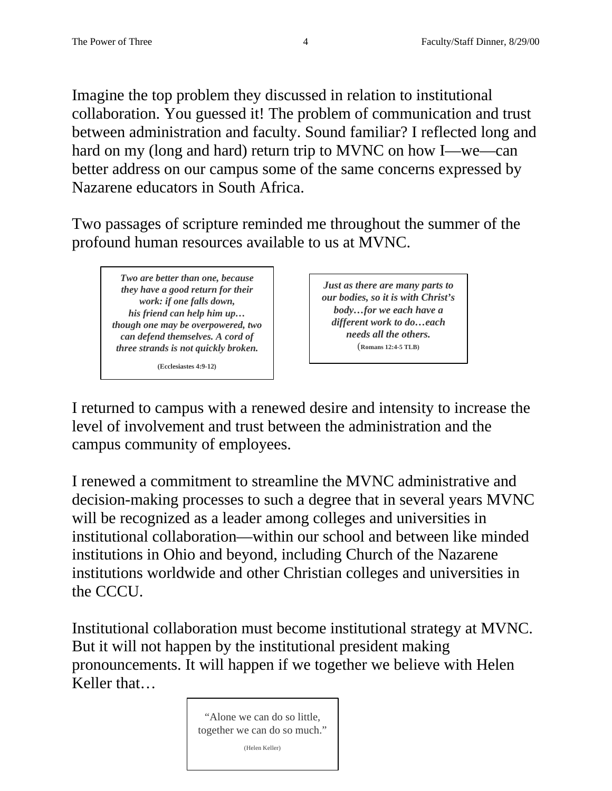Imagine the top problem they discussed in relation to institutional collaboration. You guessed it! The problem of communication and trust between administration and faculty. Sound familiar? I reflected long and hard on my (long and hard) return trip to MVNC on how I—we—can better address on our campus some of the same concerns expressed by Nazarene educators in South Africa.

Two passages of scripture reminded me throughout the summer of the profound human resources available to us at MVNC.

*Two are better than one, because they have a good return for their work: if one falls down, his friend can help him up… though one may be overpowered, two can defend themselves. A cord of three strands is not quickly broken.*

**(Ecclesiastes 4:9-12)**

*Just as there are many parts to our bodies, so it is with Christ's body…for we each have a different work to do…each needs all the others.* (**Romans 12:4-5 TLB)**

I returned to campus with a renewed desire and intensity to increase the level of involvement and trust between the administration and the campus community of employees.

I renewed a commitment to streamline the MVNC administrative and decision-making processes to such a degree that in several years MVNC will be recognized as a leader among colleges and universities in institutional collaboration—within our school and between like minded institutions in Ohio and beyond, including Church of the Nazarene institutions worldwide and other Christian colleges and universities in the CCCU.

Institutional collaboration must become institutional strategy at MVNC. But it will not happen by the institutional president making pronouncements. It will happen if we together we believe with Helen Keller that…

> "Alone we can do so little, together we can do so much." (Helen Keller)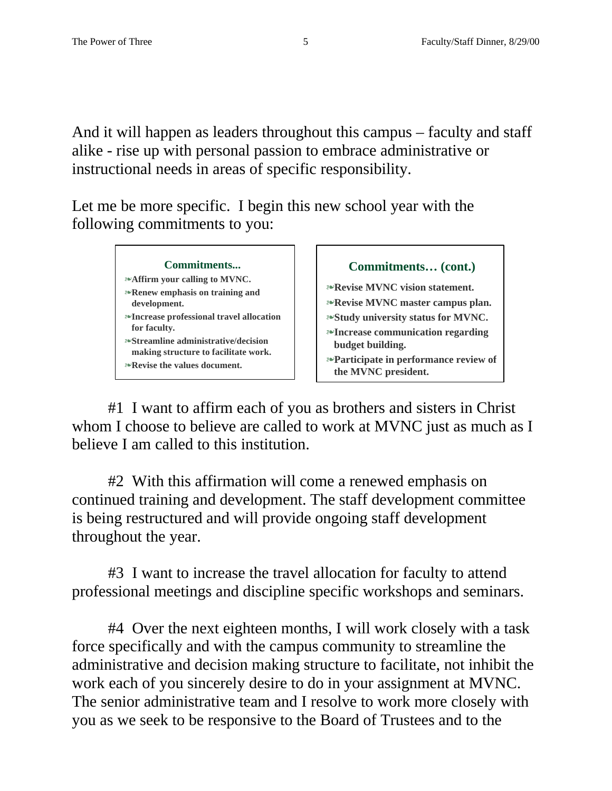And it will happen as leaders throughout this campus – faculty and staff alike - rise up with personal passion to embrace administrative or instructional needs in areas of specific responsibility.

Let me be more specific. I begin this new school year with the following commitments to you:

## **Commitments...**

- ß**Affirm your calling to MVNC.**
- ß**Renew emphasis on training and development.**
- ß**Increase professional travel allocation for faculty.**
- ß**Streamline administrative/decision making structure to facilitate work.**
- ß**Revise the values document.**

**Commitments… (cont.)**

ß**Revise MVNC vision statement.**

ß**Revise MVNC master campus plan.**

- ß**Study university status for MVNC.** ß**Increase communication regarding**
- **budget building.** ß**Participate in performance review of**
- **the MVNC president.**

#1 I want to affirm each of you as brothers and sisters in Christ whom I choose to believe are called to work at MVNC just as much as I believe I am called to this institution.

#2 With this affirmation will come a renewed emphasis on continued training and development. The staff development committee is being restructured and will provide ongoing staff development throughout the year.

#3 I want to increase the travel allocation for faculty to attend professional meetings and discipline specific workshops and seminars.

#4 Over the next eighteen months, I will work closely with a task force specifically and with the campus community to streamline the administrative and decision making structure to facilitate, not inhibit the work each of you sincerely desire to do in your assignment at MVNC. The senior administrative team and I resolve to work more closely with you as we seek to be responsive to the Board of Trustees and to the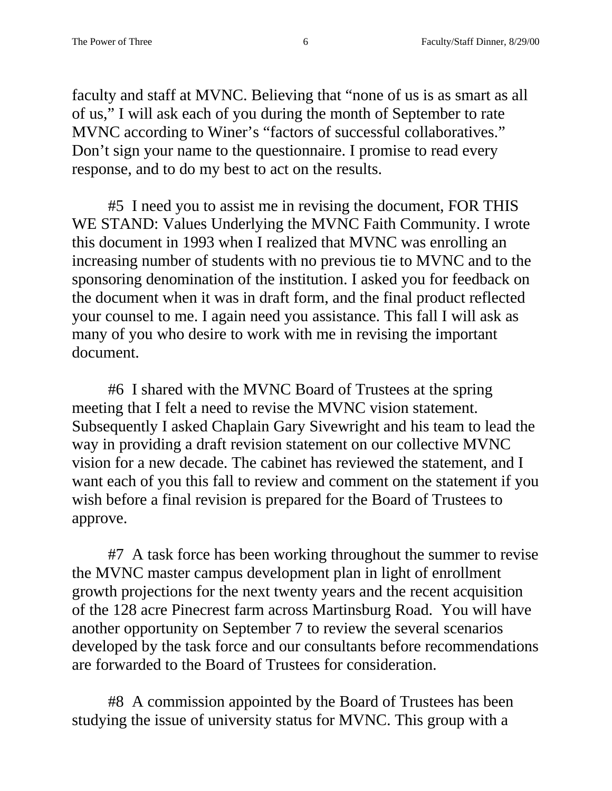faculty and staff at MVNC. Believing that "none of us is as smart as all of us," I will ask each of you during the month of September to rate MVNC according to Winer's "factors of successful collaboratives." Don't sign your name to the questionnaire. I promise to read every response, and to do my best to act on the results.

#5 I need you to assist me in revising the document, FOR THIS WE STAND: Values Underlying the MVNC Faith Community. I wrote this document in 1993 when I realized that MVNC was enrolling an increasing number of students with no previous tie to MVNC and to the sponsoring denomination of the institution. I asked you for feedback on the document when it was in draft form, and the final product reflected your counsel to me. I again need you assistance. This fall I will ask as many of you who desire to work with me in revising the important document.

#6 I shared with the MVNC Board of Trustees at the spring meeting that I felt a need to revise the MVNC vision statement. Subsequently I asked Chaplain Gary Sivewright and his team to lead the way in providing a draft revision statement on our collective MVNC vision for a new decade. The cabinet has reviewed the statement, and I want each of you this fall to review and comment on the statement if you wish before a final revision is prepared for the Board of Trustees to approve.

#7 A task force has been working throughout the summer to revise the MVNC master campus development plan in light of enrollment growth projections for the next twenty years and the recent acquisition of the 128 acre Pinecrest farm across Martinsburg Road. You will have another opportunity on September 7 to review the several scenarios developed by the task force and our consultants before recommendations are forwarded to the Board of Trustees for consideration.

#8 A commission appointed by the Board of Trustees has been studying the issue of university status for MVNC. This group with a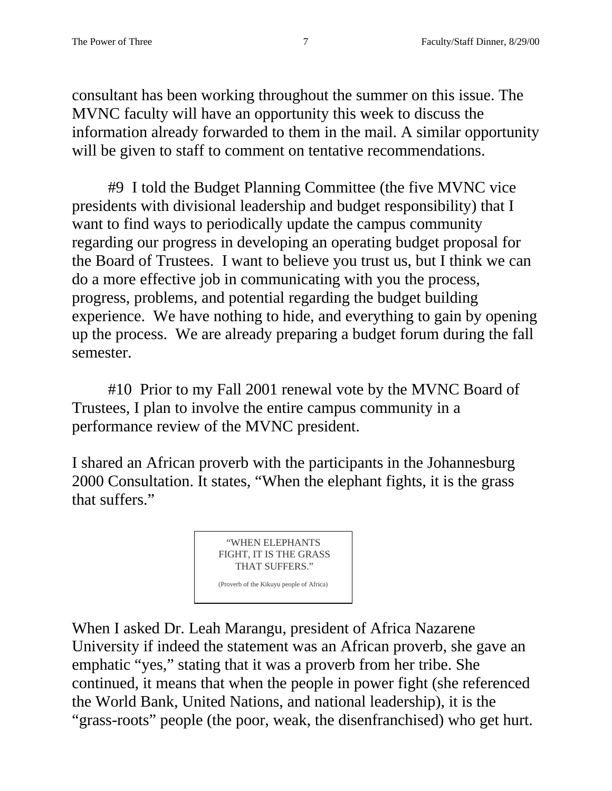consultant has been working throughout the summer on this issue. The MVNC faculty will have an opportunity this week to discuss the information already forwarded to them in the mail. A similar opportunity will be given to staff to comment on tentative recommendations.

#9 I told the Budget Planning Committee (the five MVNC vice presidents with divisional leadership and budget responsibility) that I want to find ways to periodically update the campus community regarding our progress in developing an operating budget proposal for the Board of Trustees. I want to believe you trust us, but I think we can do a more effective job in communicating with you the process, progress, problems, and potential regarding the budget building experience. We have nothing to hide, and everything to gain by opening up the process. We are already preparing a budget forum during the fall semester.

#10 Prior to my Fall 2001 renewal vote by the MVNC Board of Trustees, I plan to involve the entire campus community in a performance review of the MVNC president.

I shared an African proverb with the participants in the Johannesburg 2000 Consultation. It states, "When the elephant fights, it is the grass that suffers."

> "WHEN ELEPHANTS FIGHT, IT IS THE GRASS THAT SUFFERS." (Proverb of the Kikuyu people of Africa)

When I asked Dr. Leah Marangu, president of Africa Nazarene University if indeed the statement was an African proverb, she gave an emphatic "yes," stating that it was a proverb from her tribe. She continued, it means that when the people in power fight (she referenced the World Bank, United Nations, and national leadership), it is the "grass-roots" people (the poor, weak, the disenfranchised) who get hurt.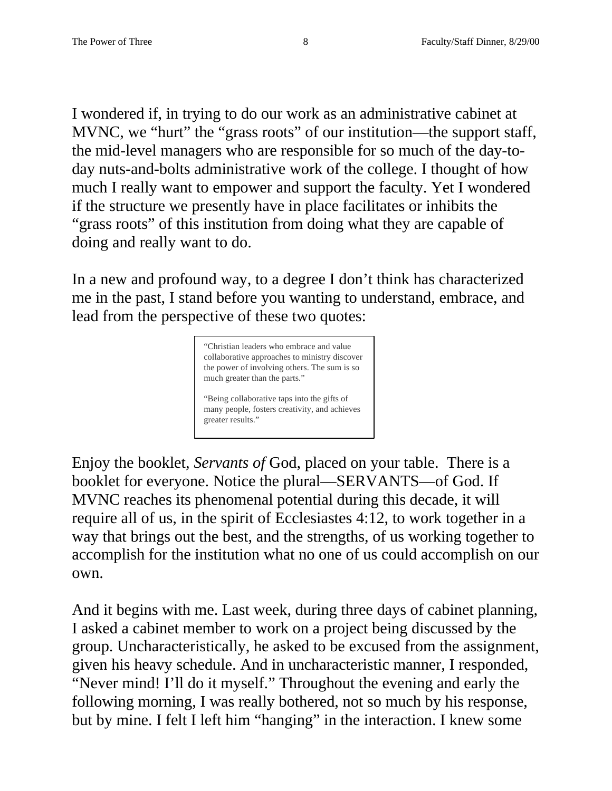I wondered if, in trying to do our work as an administrative cabinet at MVNC, we "hurt" the "grass roots" of our institution—the support staff, the mid-level managers who are responsible for so much of the day-today nuts-and-bolts administrative work of the college. I thought of how much I really want to empower and support the faculty. Yet I wondered if the structure we presently have in place facilitates or inhibits the "grass roots" of this institution from doing what they are capable of doing and really want to do.

In a new and profound way, to a degree I don't think has characterized me in the past, I stand before you wanting to understand, embrace, and lead from the perspective of these two quotes:



Enjoy the booklet, *Servants of* God, placed on your table. There is a booklet for everyone. Notice the plural—SERVANTS—of God. If MVNC reaches its phenomenal potential during this decade, it will require all of us, in the spirit of Ecclesiastes 4:12, to work together in a way that brings out the best, and the strengths, of us working together to accomplish for the institution what no one of us could accomplish on our own.

And it begins with me. Last week, during three days of cabinet planning, I asked a cabinet member to work on a project being discussed by the group. Uncharacteristically, he asked to be excused from the assignment, given his heavy schedule. And in uncharacteristic manner, I responded, "Never mind! I'll do it myself." Throughout the evening and early the following morning, I was really bothered, not so much by his response, but by mine. I felt I left him "hanging" in the interaction. I knew some